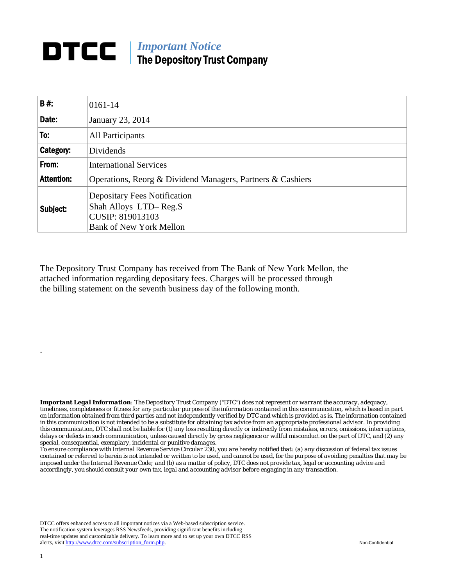## **DTCC** | *Important Notice* The Depository Trust Company

| B#:               | 0161-14                                                                                                            |
|-------------------|--------------------------------------------------------------------------------------------------------------------|
| Date:             | January 23, 2014                                                                                                   |
| To:               | All Participants                                                                                                   |
| Category:         | Dividends                                                                                                          |
| From:             | <b>International Services</b>                                                                                      |
| <b>Attention:</b> | Operations, Reorg & Dividend Managers, Partners & Cashiers                                                         |
| Subject:          | <b>Depositary Fees Notification</b><br>Shah Alloys LTD-Reg.S<br>CUSIP: 819013103<br><b>Bank of New York Mellon</b> |

The Depository Trust Company has received from The Bank of New York Mellon, the attached information regarding depositary fees. Charges will be processed through the billing statement on the seventh business day of the following month.

*Important Legal Information: The Depository Trust Company ("DTC") does not represent or warrant the accuracy, adequacy, timeliness, completeness or fitness for any particular purpose of the information contained in this communication, which is based in part on information obtained from third parties and not independently verified by DTC and which is provided as is. The information contained in this communication is not intended to be a substitute for obtaining tax advice from an appropriate professional advisor. In providing this communication, DTC shall not be liable for (1) any loss resulting directly or indirectly from mistakes, errors, omissions, interruptions, delays or defects in such communication, unless caused directly by gross negligence or willful misconduct on the part of DTC, and (2) any special, consequential, exemplary, incidental or punitive damages.* 

*To ensure compliance with Internal Revenue Service Circular 230, you are hereby notified that: (a) any discussion of federal tax issues contained or referred to herein is not intended or written to be used, and cannot be used, for the purpose of avoiding penalties that may be imposed under the Internal Revenue Code; and (b) as a matter of policy, DTC does not provide tax, legal or accounting advice and accordingly, you should consult your own tax, legal and accounting advisor before engaging in any transaction.*

DTCC offers enhanced access to all important notices via a Web-based subscription service. The notification system leverages RSS Newsfeeds, providing significant benefits including real-time updates and customizable delivery. To learn more and to set up your own DTCC RSS alerts, visit http://www.dtcc.com/subscription\_form.php. Non-Confidential

.